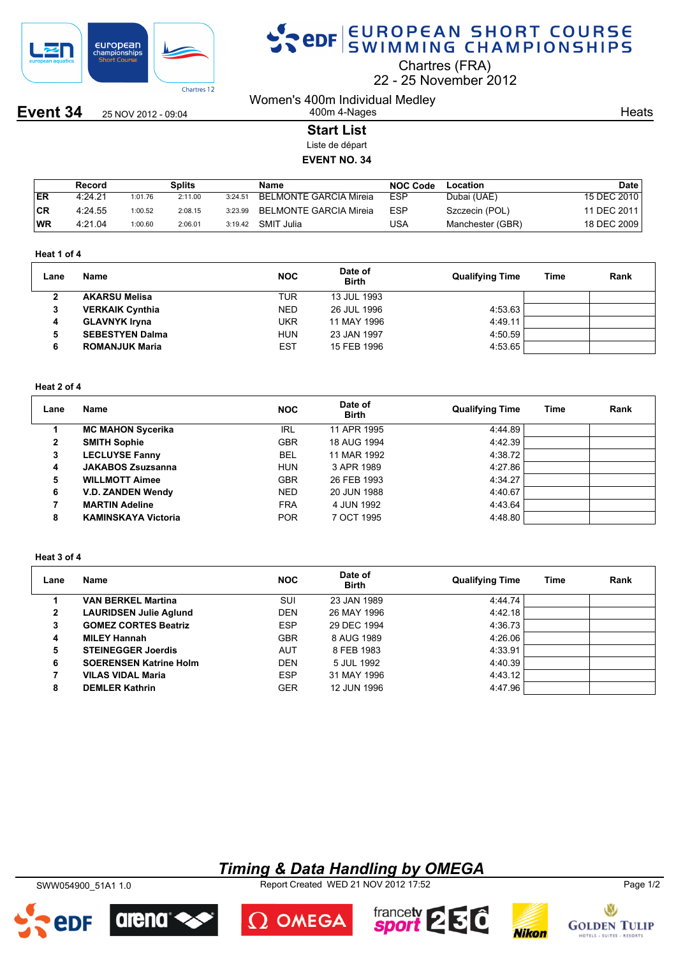

**Event 34** 25 NOV 2012 - 09:04

# SPOR SWIMMING CHAMPIONSHIPS

Chartres (FRA)

22 25 November 2012

Women's 400m Individual Medley 400m 4-Nages

**Heats** 

**Start List**

Liste de départ

**EVENT NO. 34**

|     | Record  |         | Splits  |         | Name                          | <b>NOC Code</b> | Location         | Date        |
|-----|---------|---------|---------|---------|-------------------------------|-----------------|------------------|-------------|
| ER  | 4:24.21 | 1:01.76 | 2:11.00 | 3:24.51 | <b>BELMONTE GARCIA Mireia</b> | <b>ESP</b>      | Dubai (UAE)      | 15 DEC 2010 |
| ∣CR | 4:24.55 | 1:00.52 | 2:08.15 | 3:23.99 | BELMONTE GARCIA Mireia        | <b>ESP</b>      | Szczecin (POL)   | 11 DEC 2011 |
| WR  | 4:21.04 | 1:00.60 | 2:06.01 | 3:19.42 | SMIT Julia                    | USA             | Manchester (GBR) | 18 DEC 2009 |

#### **Heat 1 of 4**

| Rank |
|------|
|      |
|      |
|      |
|      |
|      |
|      |

#### **Heat 2 of 4**

| Lane | <b>Name</b>                | <b>NOC</b> | Date of<br><b>Birth</b> | <b>Qualifying Time</b> | <b>Time</b> | Rank |
|------|----------------------------|------------|-------------------------|------------------------|-------------|------|
|      | <b>MC MAHON Sycerika</b>   | IRL        | 11 APR 1995             | 4:44.89                |             |      |
| 2    | <b>SMITH Sophie</b>        | <b>GBR</b> | 18 AUG 1994             | 4:42.39                |             |      |
| 3    | <b>LECLUYSE Fanny</b>      | <b>BEL</b> | 11 MAR 1992             | 4:38.72                |             |      |
| 4    | <b>JAKABOS Zsuzsanna</b>   | <b>HUN</b> | 3 APR 1989              | 4:27.86                |             |      |
| 5    | <b>WILLMOTT Aimee</b>      | <b>GBR</b> | 26 FEB 1993             | 4:34.27                |             |      |
| 6    | <b>V.D. ZANDEN Wendy</b>   | <b>NED</b> | 20 JUN 1988             | 4:40.67                |             |      |
| 7    | <b>MARTIN Adeline</b>      | <b>FRA</b> | 4 JUN 1992              | 4:43.64                |             |      |
| 8    | <b>KAMINSKAYA Victoria</b> | <b>POR</b> | 7 OCT 1995              | 4:48.80                |             |      |

#### **Heat 3 of 4**

| Lane | <b>Name</b>                   | <b>NOC</b> | Date of<br><b>Birth</b> | <b>Qualifying Time</b> | Time | Rank |
|------|-------------------------------|------------|-------------------------|------------------------|------|------|
|      | <b>VAN BERKEL Martina</b>     | <b>SUI</b> | 23 JAN 1989             | 4:44.74                |      |      |
| 2    | <b>LAURIDSEN Julie Aglund</b> | <b>DEN</b> | 26 MAY 1996             | 4:42.18                |      |      |
| 3    | <b>GOMEZ CORTES Beatriz</b>   | <b>ESP</b> | 29 DEC 1994             | 4:36.73                |      |      |
| 4    | <b>MILEY Hannah</b>           | <b>GBR</b> | 8 AUG 1989              | 4:26.06                |      |      |
| 5    | <b>STEINEGGER Joerdis</b>     | <b>AUT</b> | 8 FEB 1983              | 4:33.91                |      |      |
| 6    | <b>SOERENSEN Katrine Holm</b> | <b>DEN</b> | 5 JUL 1992              | 4:40.39                |      |      |
|      | <b>VILAS VIDAL Maria</b>      | <b>ESP</b> | 31 MAY 1996             | 4:43.12                |      |      |
| 8    | <b>DEMLER Kathrin</b>         | <b>GER</b> | 12 JUN 1996             | 4:47.96                |      |      |

### *Timing & Data Handling by OMEGA*

SWW054900\_51A1 1.0 Report Created WED 21 NOV 2012 17:52 Page 1/2